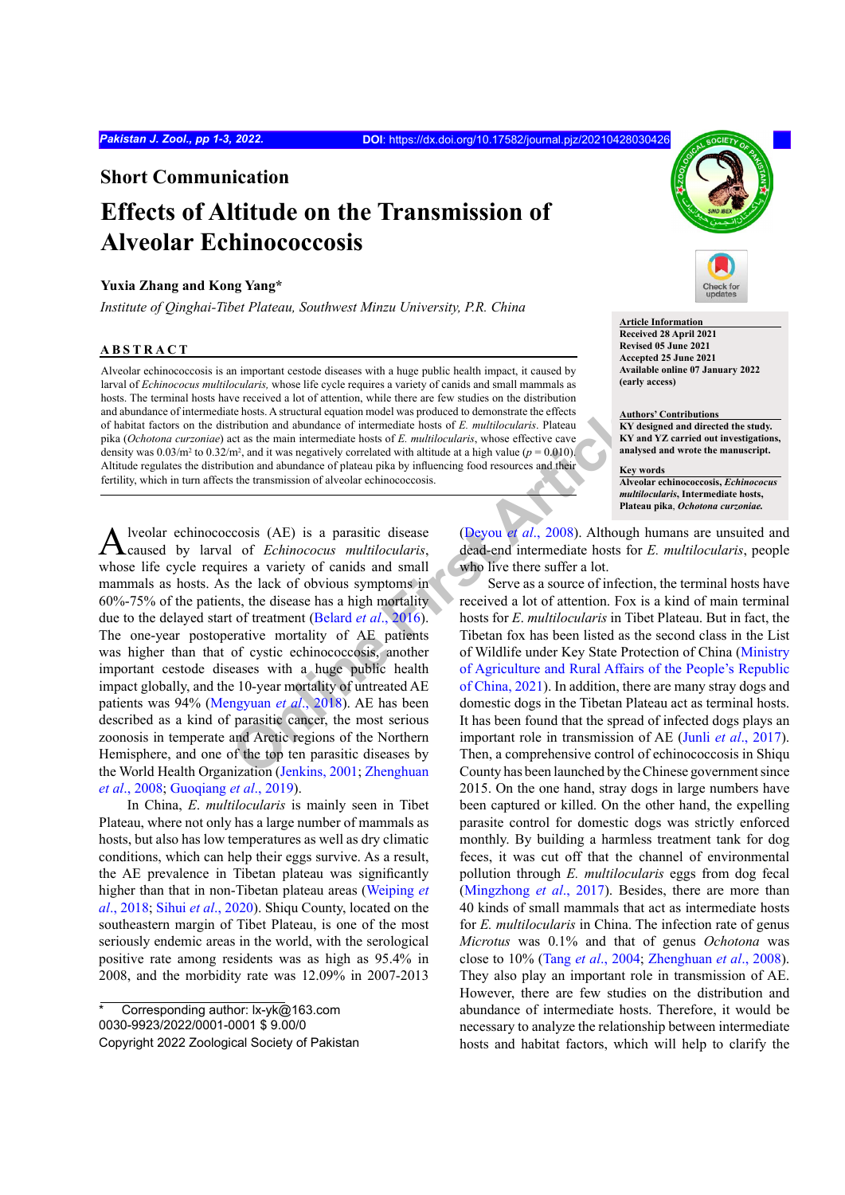**Short Communication**

# **Effects of Altitude on the Transmission of Alveolar Echinococcosis**

## **Yuxia Zhang and Kong Yang\***

*Institute of Qinghai-Tibet Plateau, Southwest Minzu University, P.R. China*

## **ABSTRACT**

Alveolar echinococcosis is an important cestode diseases with a huge public health impact, it caused by larval of *Echinococus multilocularis,* whose life cycle requires a variety of canids and small mammals as hosts. The terminal hosts have received a lot of attention, while there are few studies on the distribution and abundance of intermediate hosts. A structural equation model was produced to demonstrate the effects of habitat factors on the distribution and abundance of intermediate hosts of *E. multilocularis*. Plateau pika (*Ochotona curzoniae*) act as the main intermediate hosts of *E. multilocularis*, whose effective cave density was  $0.03/m^2$  to  $0.32/m^2$ , and it was negatively correlated with altitude at a high value ( $p = 0.010$ ). Altitude regulates the distribution and abundance of plateau pika by influencing food resources and their fertility, which in turn affects the transmission of alveolar echinococcosis.

**Example 12**<br> **Example 12**<br> **Example 12**<br> **Example 12**<br> **Example 12**<br> **Example 12**<br> **Example 12**<br> **Example 12**<br> **Example 12**<br> **Example 12**<br> **Example 12**<br> **Example 12**<br> **Example 12**<br> **Example 12**<br> **Example 12**<br> **Example 12** Alveolar echinococcosis (AE) is a parasitic disease caused by larval of *Echinococus multilocularis*, whose life cycle requires a variety of canids and small mammals as hosts. As the lack of obvious symptoms in 60%-75% of the patients, the disease has a high mortality due to the delayed start of treatment (Belard *et al*., 2016). The one-year postoperative mortality of AE patients was higher than that of cystic echinococcosis, another important cestode diseases with a huge public health impact globally, and the 10-year mortality of untreated AE patients was 94% (Mengyuan *et al*., 2018). AE has been described as a kind of parasitic cancer, the most serious zoonosis in temperate and Arctic regions of the Northern Hemisphere, and one of the top ten parasitic diseases by the World Health Organization (Jenkins, 2001; Zhenghuan *et al*., 2008; Guoqiang *et al*., 2019).

In China, *E*. *multilocularis* is mainly seen in Tibet Plateau, where not only has a large number of mammals as hosts, but also has low temperatures as well as dry climatic conditions, which can help their eggs survive. As a result, the AE prevalence in Tibetan plateau was significantly higher than that in non-Tibetan plateau areas (Weiping *et al*., 2018; Sihui *et al*., 2020). Shiqu County, located on the southeastern margin of Tibet Plateau, is one of the most seriously endemic areas in the world, with the serological positive rate among residents was as high as 95.4% in 2008, and the morbidity rate was 12.09% in 2007-2013





**Article Information Received 28 April 2021 Revised 05 June 2021 Accepted 25 June 2021 Available online 07 January 2022 (early access)**

**Authors' Contributions KY designed and directed the study. KY and YZ carried out investigations, analysed and wrote the manuscript.**

**Key words Alveolar echinococcosis,** *Echinococus multilocularis***, Intermediate hosts, Plateau pika**, *Ochotona curzoniae.*

(Deyou *et al*., 2008). Although humans are unsuited and dead-end intermediate hosts for *E. multilocularis*, people who live there suffer a lot.

Serve as a source of infection, the terminal hosts have received a lot of attention. Fox is a kind of main terminal hosts for *E*. *multilocularis* in Tibet Plateau. But in fact, the Tibetan fox has been listed as the second class in the List of Wildlife under Key State Protection of China (Ministry of Agriculture and Rural Affairs of the People's Republic of China, 2021). In addition, there are many stray dogs and domestic dogs in the Tibetan Plateau act as terminal hosts. It has been found that the spread of infected dogs plays an important role in transmission of AE (Junli *et al*., 2017). Then, a comprehensive control of echinococcosis in Shiqu County has been launched by the Chinese government since 2015. On the one hand, stray dogs in large numbers have been captured or killed. On the other hand, the expelling parasite control for domestic dogs was strictly enforced monthly. By building a harmless treatment tank for dog feces, it was cut off that the channel of environmental pollution through *E. multilocularis* eggs from dog fecal (Mingzhong *et al*., 2017). Besides, there are more than 40 kinds of small mammals that act as intermediate hosts for *E. multilocularis* in China. The infection rate of genus *Microtus* was 0.1% and that of genus *Ochotona* was close to 10% (Tang *et al*., 2004; Zhenghuan *et al*., 2008). They also play an important role in transmission of AE. However, there are few studies on the distribution and abundance of intermediate hosts. Therefore, it would be necessary to analyze the relationship between intermediate hosts and habitat factors, which will help to clarify the

Corresponding author: lx-yk@163.com 0030-9923/2022/0001-0001 \$ 9.00/0 Copyright 2022 Zoological Society of Pakistan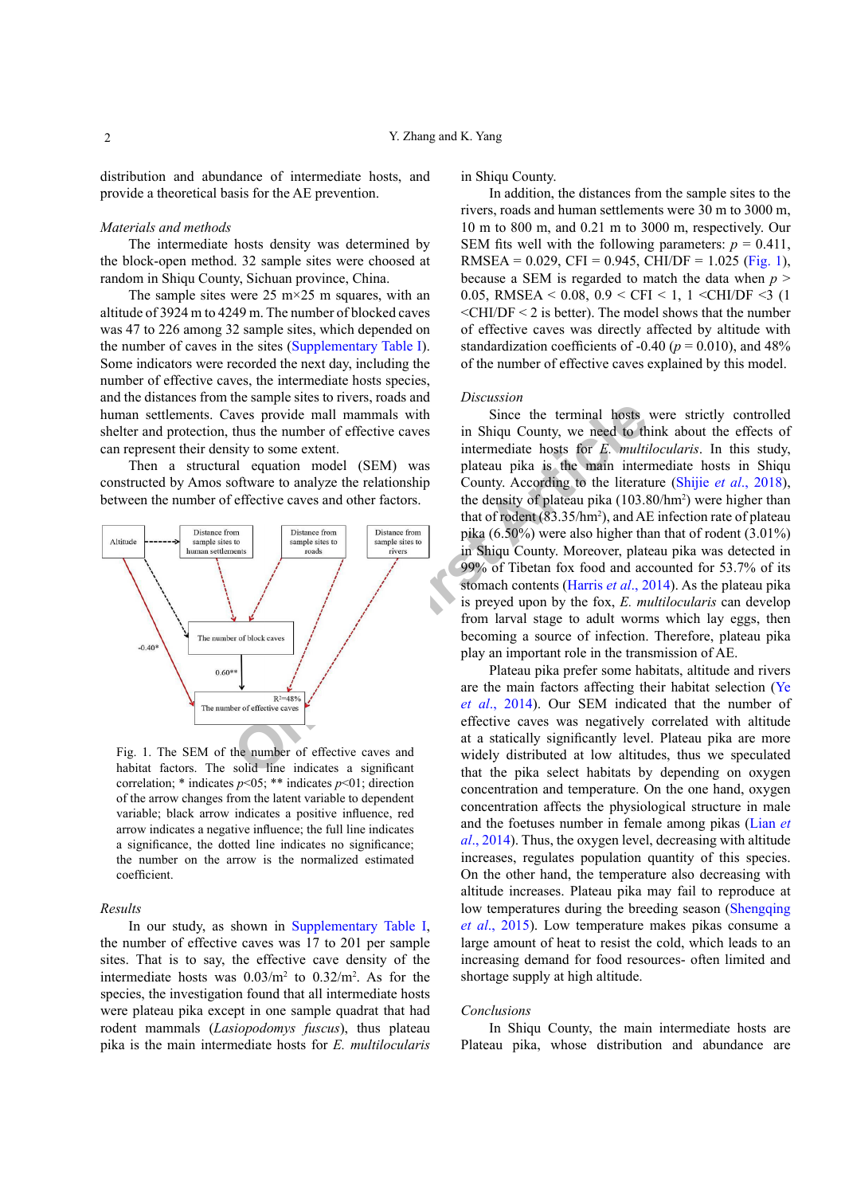distribution and abundance of intermediate hosts, and provide a theoretical basis for the AE prevention.

#### *Materials and methods*

The intermediate hosts density was determined by the block-open method. 32 sample sites were choosed at random in Shiqu County, Sichuan province, China.

The sample sites were  $25 \text{ m} \times 25 \text{ m}$  squares, with an altitude of 3924 m to 4249 m. The number of blocked caves was 47 to 226 among 32 sample sites, which depended on the number of caves in the sites (Supplementary Table I). Some indicators were recorded the next day, including the number of effective caves, the intermediate hosts species, and the distances from the sample sites to rivers, roads and human settlements. Caves provide mall mammals with shelter and protection, thus the number of effective caves can represent their density to some extent.

Then a structural equation model (SEM) was constructed by Amos software to analyze the relationship between the number of effective caves and other factors.



Fig. 1. The SEM of the number of effective caves and habitat factors. The solid line indicates a significant correlation; \* indicates *p*<05; \*\* indicates *p*<01; direction of the arrow changes from the latent variable to dependent variable; black arrow indicates a positive influence, red arrow indicates a negative influence; the full line indicates a significance, the dotted line indicates no significance; the number on the arrow is the normalized estimated coefficient.

#### *Results*

In our study, as shown in Supplementary Table I, the number of effective caves was 17 to 201 per sample sites. That is to say, the effective cave density of the intermediate hosts was  $0.03/m^2$  to  $0.32/m^2$ . As for the species, the investigation found that all intermediate hosts were plateau pika except in one sample quadrat that had rodent mammals (*Lasiopodomys fuscus*), thus plateau pika is the main intermediate hosts for *E. multilocularis* 

in Shiqu County.

In addition, the distances from the sample sites to the rivers, roads and human settlements were 30 m to 3000 m, 10 m to 800 m, and 0.21 m to 3000 m, respectively. Our SEM fits well with the following parameters:  $p = 0.411$ , RMSEA =  $0.029$ , CFI =  $0.945$ , CHI/DF =  $1.025$  (Fig. 1), because a SEM is regarded to match the data when *p* > 0.05, RMSEA < 0.08, 0.9 < CFI < 1, 1 < CHI/DF <3 (1  $\leq$ CHI/DF $\leq$  2 is better). The model shows that the number of effective caves was directly affected by altitude with standardization coefficients of  $-0.40$  ( $p = 0.010$ ), and  $48\%$ of the number of effective caves explained by this model.

#### *Discussion*

Since the terminal hosts were strictly controlled in Shiqu County, we need to think about the effects of intermediate hosts for *E. multilocularis*. In this study, plateau pika is the main intermediate hosts in Shiqu County. According to the literature (Shijie *et al*., 2018), the density of plateau pika (103.80/hm2 ) were higher than that of rodent (83.35/hm2 ), and AE infection rate of plateau pika (6.50%) were also higher than that of rodent (3.01%) in Shiqu County. Moreover, plateau pika was detected in 99% of Tibetan fox food and accounted for 53.7% of its stomach contents (Harris *et al*., 2014). As the plateau pika is preyed upon by the fox, *E. multilocularis* can develop from larval stage to adult worms which lay eggs, then becoming a source of infection. Therefore, plateau pika play an important role in the transmission of AE.

Plateau pika prefer some habitats, altitude and rivers are the main factors affecting their habitat selection (Ye *et al*., 2014). Our SEM indicated that the number of effective caves was negatively correlated with altitude at a statically significantly level. Plateau pika are more widely distributed at low altitudes, thus we speculated that the pika select habitats by depending on oxygen concentration and temperature. On the one hand, oxygen concentration affects the physiological structure in male and the foetuses number in female among pikas (Lian *et al*., 2014). Thus, the oxygen level, decreasing with altitude increases, regulates population quantity of this species. On the other hand, the temperature also decreasing with altitude increases. Plateau pika may fail to reproduce at low temperatures during the breeding season (Shengqing *et al*., 2015). Low temperature makes pikas consume a large amount of heat to resist the cold, which leads to an increasing demand for food resources- often limited and shortage supply at high altitude.

#### *Conclusions*

In Shiqu County, the main intermediate hosts are Plateau pika, whose distribution and abundance are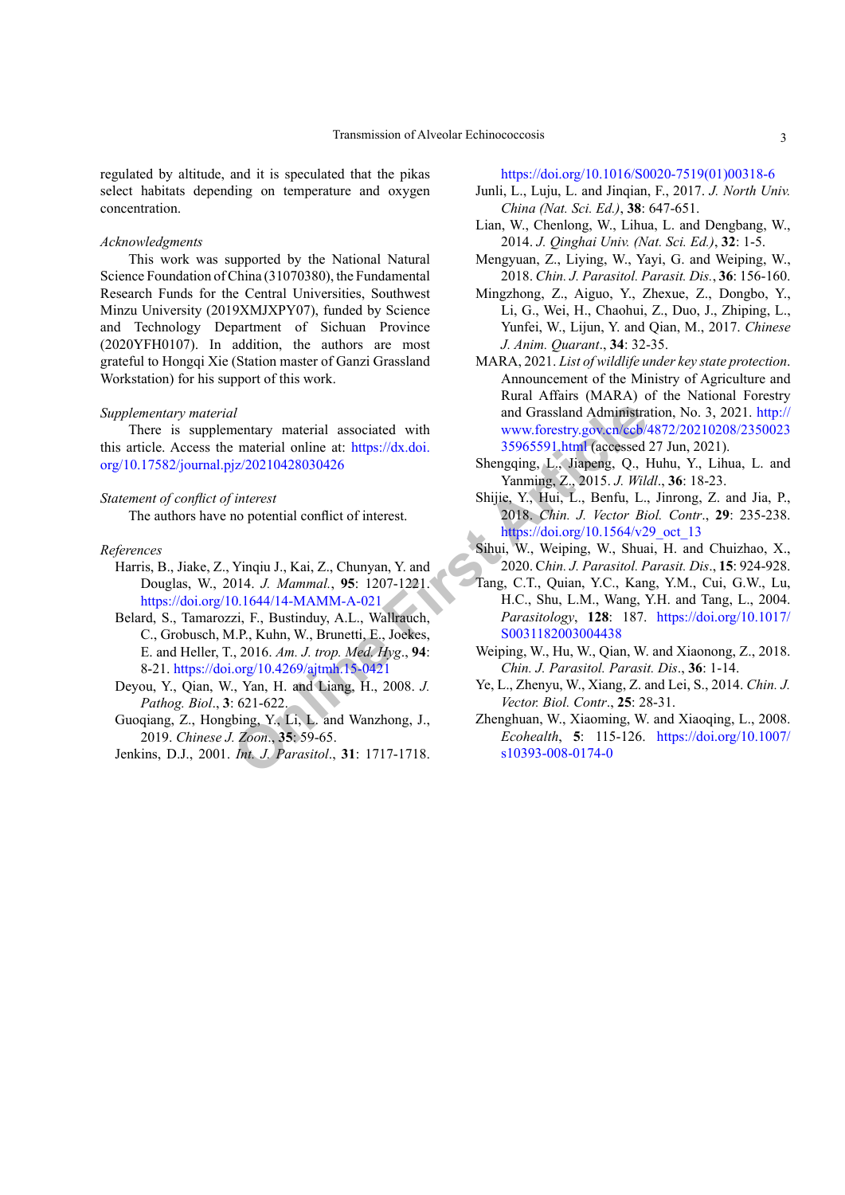regulated by altitude, and it is speculated that the pikas select habitats depending on temperature and oxygen concentration.

### *Acknowledgments*

This work was supported by the National Natural Science Foundation of China (31070380), the Fundamental Research Funds for the Central Universities, Southwest Minzu University (2019XMJXPY07), funded by Science and Technology Department of Sichuan Province (2020YFH0107). In addition, the authors are most grateful to Hongqi Xie (Station master of Ganzi Grassland Workstation) for his support of this work.

#### *Supplementary material*

There is supplementary material associated with this article. Access the material online at: https://dx.doi. [org/10.17582/journal.pjz/20210428030426](https://dx.doi.org/10.17582/journal.pjz/20210428030426)

### *Statement of conflict of interest*

The authors have no potential conflict of interest.

#### *References*

- Harris, B., Jiake, Z., Yinqiu J., Kai, Z., Chunyan, Y. and Douglas, W., 2014. *J. Mammal.*, **95**: 1207-1221. <https://doi.org/10.1644/14-MAMM-A-021>
- mentary material associated with<br>
mentary material online at: https://dx.doi. 35965591 html (accessed<br>
jz/20210428030426<br>
Shengqing, L., Jiapeng, Q., 101, D., Benfu, L.,<br>
mo potential confl[ic](http://www.forestry.gov.cn/ccb/4872/20210208/235002335965591.html)t of interest. The paraming T., Belard, S., Tamarozzi, F., Bustinduy, A.L., Wallrauch, C., Grobusch, M.P., Kuhn, W., Brunetti, E., Joekes, E. and Heller, T., 2016. *Am. J. trop. Med. Hyg*., **94**: 8-21. <https://doi.org/10.4269/ajtmh.15-0421>
- Deyou, Y., Qian, W., Yan, H. and Liang, H., 2008. *J. Pathog. Biol*., **3**: 621-622.
- Guoqiang, Z., Hongbing, Y., Li, L. and Wanzhong, J., 2019. *Chinese J. Zoon*., **35**: 59-65.
- Jenkins, D.J., 2001. *Int. J. Parasitol*., **31**: 1717-1718.

## [https://doi.org/10.1016/S0020-7519\(01\)00318-6](https://doi.org/10.1016/S0020-7519(01)00318-6)

- Junli, L., Luju, L. and Jinqian, F., 2017. *J. North Univ. China (Nat. Sci. Ed.)*, **38**: 647-651.
- Lian, W., Chenlong, W., Lihua, L. and Dengbang, W., 2014. *J. Qinghai Univ. (Nat. Sci. Ed.)*, **32**: 1-5.
- Mengyuan, Z., Liying, W., Yayi, G. and Weiping, W., 2018. *Chin. J. Parasitol. Parasit. Dis.*, **36**: 156-160.
- Mingzhong, Z., Aiguo, Y., Zhexue, Z., Dongbo, Y., Li, G., Wei, H., Chaohui, Z., Duo, J., Zhiping, L., Yunfei, W., Lijun, Y. and Qian, M., 2017. *Chinese J. Anim. Quarant*., **34**: 32-35.
- MARA, 2021. *List of wildlife under key state protection*. Announcement of the Ministry of Agriculture and Rural Affairs (MARA) of the National Forestry and Grassland Administration, No. 3, 2021. [http://](http://www.forestry.gov.cn/ccb/4872/20210208/235002335965591.html) [www.forestry.gov.cn/ccb/4872/20210208/2350023](http://www.forestry.gov.cn/ccb/4872/20210208/235002335965591.html) 35965591.html (accessed 27 Jun, 2021).
- Shengqing, L., Jiapeng, Q., Huhu, Y., Lihua, L. and Yanming, Z., 2015. *J. Wildl*., **36**: 18-23.
- Shijie, Y., Hui, L., Benfu, L., Jinrong, Z. and Jia, P., 2018. *Chin. J. Vector Biol. Contr*., **29**: 235-238. [https://doi.org/10.1564/v29\\_oct\\_13](https://doi.org/10.1564/v29_oct_13)
- Sihui, W., Weiping, W., Shuai, H. and Chuizhao, X., 2020. C*hin. J. Parasitol. Parasit. Dis*., **15**: 924-928.
- Tang, C.T., Quian, Y.C., Kang, Y.M., Cui, G.W., Lu, H.C., Shu, L.M., Wang, Y.H. and Tang, L., 2004. *Parasitology*, **128**: 187. [https://doi.org/10.1017/](https://doi.org/10.1017/S0031182003004438) S0031182003004438
- Weiping, W., Hu, W., Qian, W. and Xiaonong, Z., 2018. *Chin. J. Parasitol. Parasit. Dis*., **36**: 1-14.
- Ye, L., Zhenyu, W., Xiang, Z. and Lei, S., 2014. *Chin. J. Vector. Biol. Contr*., **25**: 28-31.
- Zhenghuan, W., Xiaoming, W. and Xiaoqing, L., 2008. *Ecohealth*, **5**: 115-126. [https://doi.org/10.1007/](https://doi.org/10.1007/s10393-008-0174-0) s10393-008-0174-0